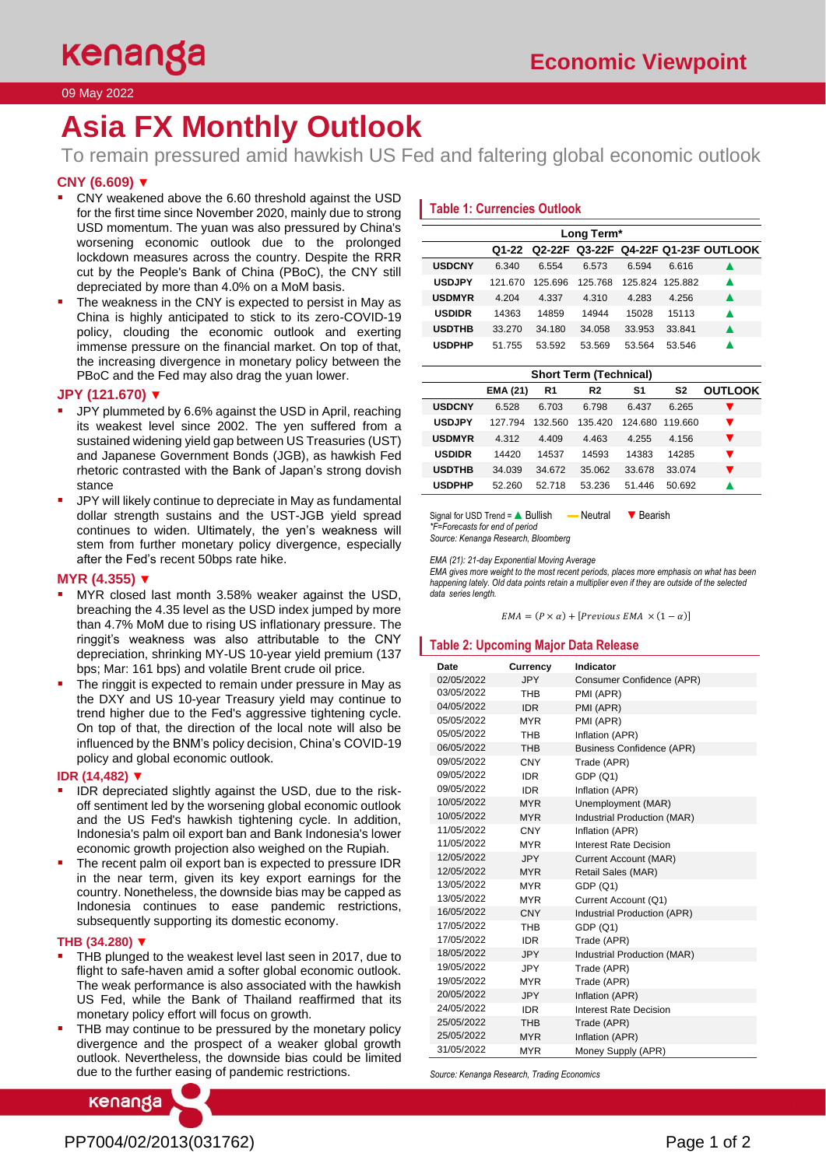# 09 May 2022

# **Asia FX Monthly Outlook**

To remain pressured amid hawkish US Fed and faltering global economic outlook

# **CNY (6.609)** ▼

- CNY weakened above the 6.60 threshold against the USD for the first time since November 2020, mainly due to strong USD momentum. The yuan was also pressured by China's worsening economic outlook due to the prolonged lockdown measures across the country. Despite the RRR cut by the People's Bank of China (PBoC), the CNY still depreciated by more than 4.0% on a MoM basis.
- The weakness in the CNY is expected to persist in May as China is highly anticipated to stick to its zero-COVID-19 policy, clouding the economic outlook and exerting immense pressure on the financial market. On top of that, the increasing divergence in monetary policy between the PBoC and the Fed may also drag the yuan lower.

### **JPY (121.670)** ▼

- JPY plummeted by 6.6% against the USD in April, reaching its weakest level since 2002. The yen suffered from a sustained widening yield gap between US Treasuries (UST) and Japanese Government Bonds (JGB), as hawkish Fed rhetoric contrasted with the Bank of Japan's strong dovish stance
- JPY will likely continue to depreciate in May as fundamental dollar strength sustains and the UST-JGB yield spread continues to widen. Ultimately, the yen's weakness will stem from further monetary policy divergence, especially after the Fed's recent 50bps rate hike.

### **MYR (4.355)** ▼

- MYR closed last month 3.58% weaker against the USD, breaching the 4.35 level as the USD index jumped by more than 4.7% MoM due to rising US inflationary pressure. The ringgit's weakness was also attributable to the CNY depreciation, shrinking MY-US 10-year yield premium (137 bps; Mar: 161 bps) and volatile Brent crude oil price.
- The ringgit is expected to remain under pressure in May as the DXY and US 10-year Treasury yield may continue to trend higher due to the Fed's aggressive tightening cycle. On top of that, the direction of the local note will also be influenced by the BNM's policy decision, China's COVID-19 policy and global economic outlook.

### **IDR (14,482)** ▼

- IDR depreciated slightly against the USD, due to the riskoff sentiment led by the worsening global economic outlook and the US Fed's hawkish tightening cycle. In addition, Indonesia's palm oil export ban and Bank Indonesia's lower economic growth projection also weighed on the Rupiah.
- The recent palm oil export ban is expected to pressure IDR in the near term, given its key export earnings for the country. Nonetheless, the downside bias may be capped as Indonesia continues to ease pandemic restrictions, subsequently supporting its domestic economy.

#### **THB (34.280)** ▼

- THB plunged to the weakest level last seen in 2017, due to flight to safe-haven amid a softer global economic outlook. The weak performance is also associated with the hawkish US Fed, while the Bank of Thailand reaffirmed that its monetary policy effort will focus on growth.
- THB may continue to be pressured by the monetary policy divergence and the prospect of a weaker global growth outlook. Nevertheless, the downside bias could be limited due to the further easing of pandemic restrictions.

kenanga

## **Table 1: Currencies Outlook**

| Long Term*    |         |         |         |         |        |                                           |
|---------------|---------|---------|---------|---------|--------|-------------------------------------------|
|               |         |         |         |         |        | Q1-22 Q2-22F Q3-22F Q4-22F Q1-23F OUTLOOK |
| <b>USDCNY</b> | 6.340   | 6.554   | 6.573   | 6.594   | 6.616  |                                           |
| <b>USDJPY</b> | 121 670 | 125.696 | 125 768 | 125.824 | 125882 | ▲                                         |
| <b>USDMYR</b> | 4.204   | 4.337   | 4 310   | 4.283   | 4 256  | ▲                                         |
| <b>USDIDR</b> | 14363   | 14859   | 14944   | 15028   | 15113  | ▲                                         |
| <b>USDTHB</b> | 33.270  | 34.180  | 34.058  | 33.953  | 33.841 |                                           |
| <b>USDPHP</b> | 51 755  | 53 592  | 53.569  | 53.564  | 53 546 |                                           |

| S1<br><b>EMA (21)</b><br>S2<br>R1<br>R2<br><b>USDCNY</b><br>6.528<br>6.703<br>6.798<br>6.437<br>6.265<br><b>USDJPY</b><br>132.560<br>124.680<br>127 794<br>135 420<br>119 660<br>v<br><b>USDMYR</b><br>4.409<br>$\blacktriangledown$<br>4.312<br>4.463<br>4 255<br>4.156<br><b>USDIDR</b><br>14537<br>14593<br>14420<br>14383<br>14285<br>v | <b>Short Term (Technical)</b> |  |  |  |  |  |                |
|---------------------------------------------------------------------------------------------------------------------------------------------------------------------------------------------------------------------------------------------------------------------------------------------------------------------------------------------|-------------------------------|--|--|--|--|--|----------------|
|                                                                                                                                                                                                                                                                                                                                             |                               |  |  |  |  |  | <b>OUTLOOK</b> |
|                                                                                                                                                                                                                                                                                                                                             |                               |  |  |  |  |  |                |
|                                                                                                                                                                                                                                                                                                                                             |                               |  |  |  |  |  |                |
|                                                                                                                                                                                                                                                                                                                                             |                               |  |  |  |  |  |                |
|                                                                                                                                                                                                                                                                                                                                             |                               |  |  |  |  |  |                |
| <b>USDTHB</b><br>▼<br>34.039<br>34.672<br>35.062<br>33.074<br>33.678                                                                                                                                                                                                                                                                        |                               |  |  |  |  |  |                |
| <b>USDPHP</b><br>52.260<br>53.236<br>51.446<br>50.692<br>52.718                                                                                                                                                                                                                                                                             |                               |  |  |  |  |  |                |

Signal for USD Trend = ▲ Bullish — Neutral ▼ Bearish *\*F=Forecasts for end of period Source: Kenanga Research, Bloomberg*

*EMA (21): 21-day Exponential Moving Average*

*EMA gives more weight to the most recent periods, places more emphasis on what has been happening lately. Old data points retain a multiplier even if they are outside of the selected data series length.*

 $EMA = (P \times \alpha) + [Previous EMA \times (1 - \alpha)]$ 

### **Table 2: Upcoming Major Data Release**

| <b>Date</b> | <b>Currency</b> | Indicator                        |
|-------------|-----------------|----------------------------------|
| 02/05/2022  | <b>JPY</b>      | Consumer Confidence (APR)        |
| 03/05/2022  | <b>THR</b>      | PMI (APR)                        |
| 04/05/2022  | <b>IDR</b>      | PMI (APR)                        |
| 05/05/2022  | <b>MYR</b>      | PMI (APR)                        |
| 05/05/2022  | <b>THB</b>      | Inflation (APR)                  |
| 06/05/2022  | <b>THB</b>      | <b>Business Confidence (APR)</b> |
| 09/05/2022  | <b>CNY</b>      | Trade (APR)                      |
| 09/05/2022  | <b>IDR</b>      | GDP(Q1)                          |
| 09/05/2022  | <b>IDR</b>      | Inflation (APR)                  |
| 10/05/2022  | <b>MYR</b>      | Unemployment (MAR)               |
| 10/05/2022  | <b>MYR</b>      | Industrial Production (MAR)      |
| 11/05/2022  | CNY             | Inflation (APR)                  |
| 11/05/2022  | <b>MYR</b>      | Interest Rate Decision           |
| 12/05/2022  | <b>JPY</b>      | Current Account (MAR)            |
| 12/05/2022  | <b>MYR</b>      | Retail Sales (MAR)               |
| 13/05/2022  | <b>MYR</b>      | GDP (Q1)                         |
| 13/05/2022  | <b>MYR</b>      | Current Account (Q1)             |
| 16/05/2022  | <b>CNY</b>      | Industrial Production (APR)      |
| 17/05/2022  | <b>THB</b>      | GDP(Q1)                          |
| 17/05/2022  | <b>IDR</b>      | Trade (APR)                      |
| 18/05/2022  | <b>JPY</b>      | Industrial Production (MAR)      |
| 19/05/2022  | JPY             | Trade (APR)                      |
| 19/05/2022  | <b>MYR</b>      | Trade (APR)                      |
| 20/05/2022  | <b>JPY</b>      | Inflation (APR)                  |
| 24/05/2022  | <b>IDR</b>      | Interest Rate Decision           |
| 25/05/2022  | <b>THB</b>      | Trade (APR)                      |
| 25/05/2022  | <b>MYR</b>      | Inflation (APR)                  |
| 31/05/2022  | <b>MYR</b>      | Money Supply (APR)               |

*Source: Kenanga Research, Trading Economics*